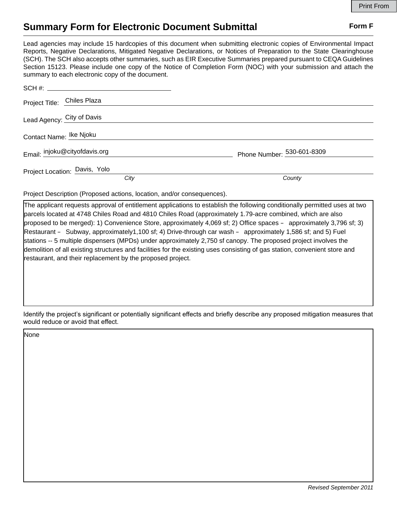## **Summary Form for Electronic Document Submittal Form F Form F**

Lead agencies may include 15 hardcopies of this document when submitting electronic copies of Environmental Impact Reports, Negative Declarations, Mitigated Negative Declarations, or Notices of Preparation to the State Clearinghouse (SCH). The SCH also accepts other summaries, such as EIR Executive Summaries prepared pursuant to CEQA Guidelines Section 15123. Please include one copy of the Notice of Completion Form (NOC) with your submission and attach the summary to each electronic copy of the document.

|                         | Project Title: Chiles Plaza   |                            |
|-------------------------|-------------------------------|----------------------------|
|                         | Lead Agency: City of Davis    |                            |
| Contact Name: Ike Njoku |                               |                            |
|                         | Email: injoku@cityofdavis.org | Phone Number: 530-601-8309 |
|                         | Project Location: Davis, Yolo |                            |
|                         | City                          | County                     |

Project Description (Proposed actions, location, and/or consequences).

The applicant requests approval of entitlement applications to establish the following conditionally permitted uses at two parcels located at 4748 Chiles Road and 4810 Chiles Road (approximately 1.79-acre combined, which are also proposed to be merged): 1) Convenience Store, approximately 4,069 sf; 2) Office spaces – approximately 3,796 sf; 3) Restaurant – Subway, approximately1,100 sf; 4) Drive-through car wash – approximately 1,586 sf; and 5) Fuel stations -- 5 multiple dispensers (MPDs) under approximately 2,750 sf canopy. The proposed project involves the demolition of all existing structures and facilities for the existing uses consisting of gas station, convenient store and restaurant, and their replacement by the proposed project.

Identify the project's significant or potentially significant effects and briefly describe any proposed mitigation measures that would reduce or avoid that effect.

None